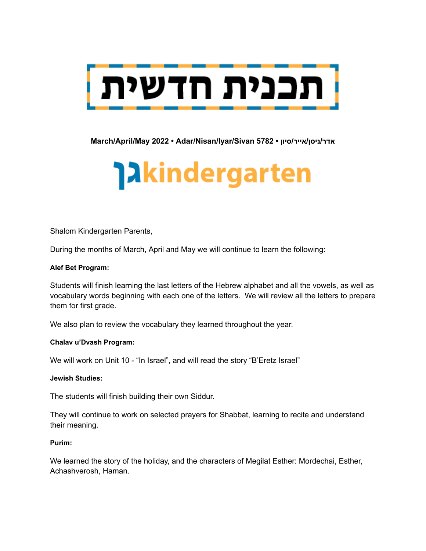

**March/April/May 2022 • Adar/Nisan/Iyar/Sivan 5782 • סיון/אייר/ניסן/אדר**

# **Takindergarten**

Shalom Kindergarten Parents,

During the months of March, April and May we will continue to learn the following:

#### **Alef Bet Program:**

Students will finish learning the last letters of the Hebrew alphabet and all the vowels, as well as vocabulary words beginning with each one of the letters. We will review all the letters to prepare them for first grade.

We also plan to review the vocabulary they learned throughout the year.

#### **Chalav u'Dvash Program:**

We will work on Unit 10 - "In Israel", and will read the story "B'Eretz Israel"

#### **Jewish Studies:**

The students will finish building their own Siddur.

They will continue to work on selected prayers for Shabbat, learning to recite and understand their meaning.

#### **Purim:**

We learned the story of the holiday, and the characters of Megilat Esther: Mordechai, Esther, Achashverosh, Haman.